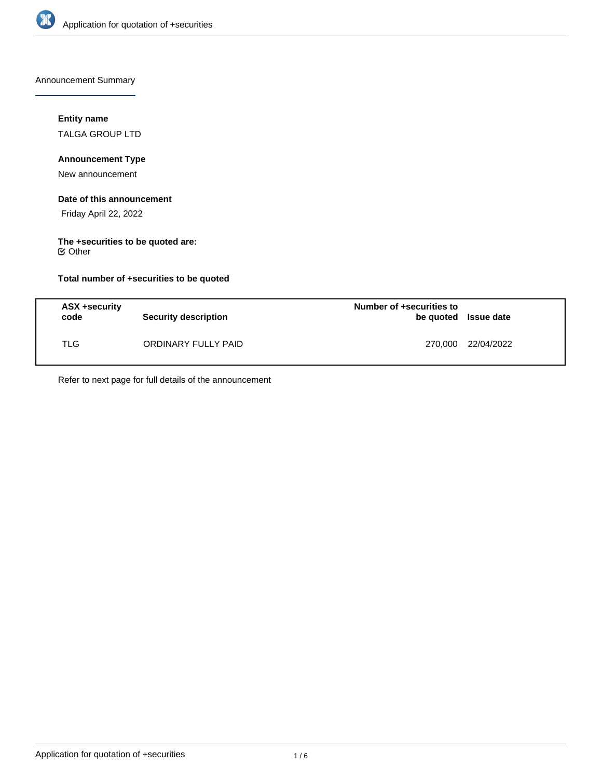

Announcement Summary

## **Entity name**

TALGA GROUP LTD

## **Announcement Type**

New announcement

#### **Date of this announcement**

Friday April 22, 2022

# **The +securities to be quoted are:**

Other

## **Total number of +securities to be quoted**

| ASX +security<br>code | <b>Security description</b> | Number of +securities to<br>be quoted Issue date |                    |
|-----------------------|-----------------------------|--------------------------------------------------|--------------------|
| TLG.                  | ORDINARY FULLY PAID         |                                                  | 270,000 22/04/2022 |

Refer to next page for full details of the announcement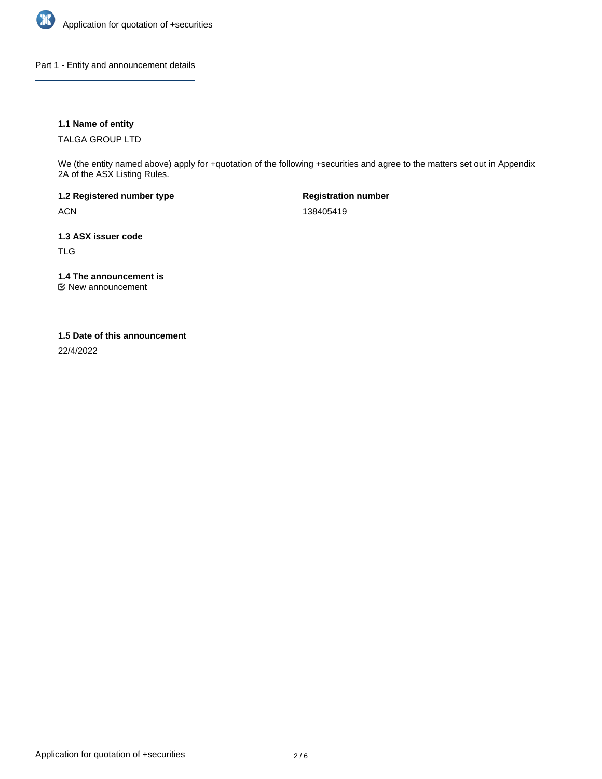

Part 1 - Entity and announcement details

## **1.1 Name of entity**

TALGA GROUP LTD

We (the entity named above) apply for +quotation of the following +securities and agree to the matters set out in Appendix 2A of the ASX Listing Rules.

**1.2 Registered number type** ACN

**Registration number** 138405419

**1.3 ASX issuer code**

TLG

**1.4 The announcement is**

New announcement

## **1.5 Date of this announcement**

22/4/2022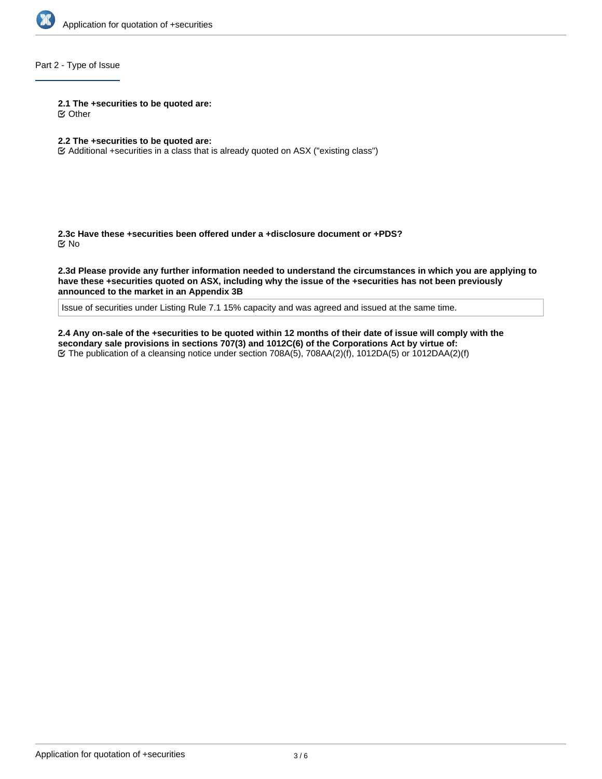

## Part 2 - Type of Issue

**2.1 The +securities to be quoted are:**

Other

## **2.2 The +securities to be quoted are:**

Additional +securities in a class that is already quoted on ASX ("existing class")

**2.3c Have these +securities been offered under a +disclosure document or +PDS?** No

**2.3d Please provide any further information needed to understand the circumstances in which you are applying to have these +securities quoted on ASX, including why the issue of the +securities has not been previously announced to the market in an Appendix 3B**

Issue of securities under Listing Rule 7.1 15% capacity and was agreed and issued at the same time.

**2.4 Any on-sale of the +securities to be quoted within 12 months of their date of issue will comply with the secondary sale provisions in sections 707(3) and 1012C(6) of the Corporations Act by virtue of:** The publication of a cleansing notice under section 708A(5), 708AA(2)(f), 1012DA(5) or 1012DAA(2)(f)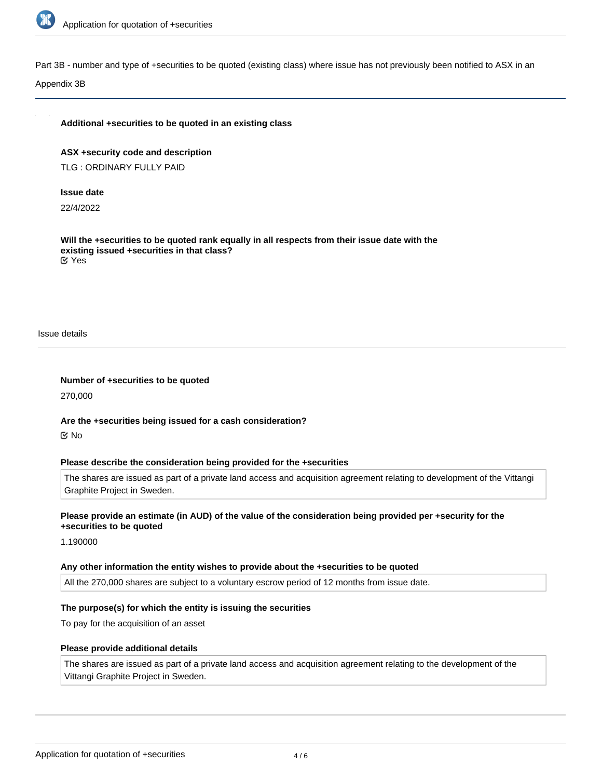

Part 3B - number and type of +securities to be quoted (existing class) where issue has not previously been notified to ASX in an

Appendix 3B

#### **Additional +securities to be quoted in an existing class**

**ASX +security code and description** TLG : ORDINARY FULLY PAID

#### **Issue date**

22/4/2022

**Will the +securities to be quoted rank equally in all respects from their issue date with the existing issued +securities in that class?** Yes

Issue details

**Number of +securities to be quoted** 270,000

**Are the +securities being issued for a cash consideration?** No

#### **Please describe the consideration being provided for the +securities**

The shares are issued as part of a private land access and acquisition agreement relating to development of the Vittangi Graphite Project in Sweden.

## **Please provide an estimate (in AUD) of the value of the consideration being provided per +security for the +securities to be quoted**

1.190000

#### **Any other information the entity wishes to provide about the +securities to be quoted**

All the 270,000 shares are subject to a voluntary escrow period of 12 months from issue date.

#### **The purpose(s) for which the entity is issuing the securities**

To pay for the acquisition of an asset

#### **Please provide additional details**

The shares are issued as part of a private land access and acquisition agreement relating to the development of the Vittangi Graphite Project in Sweden.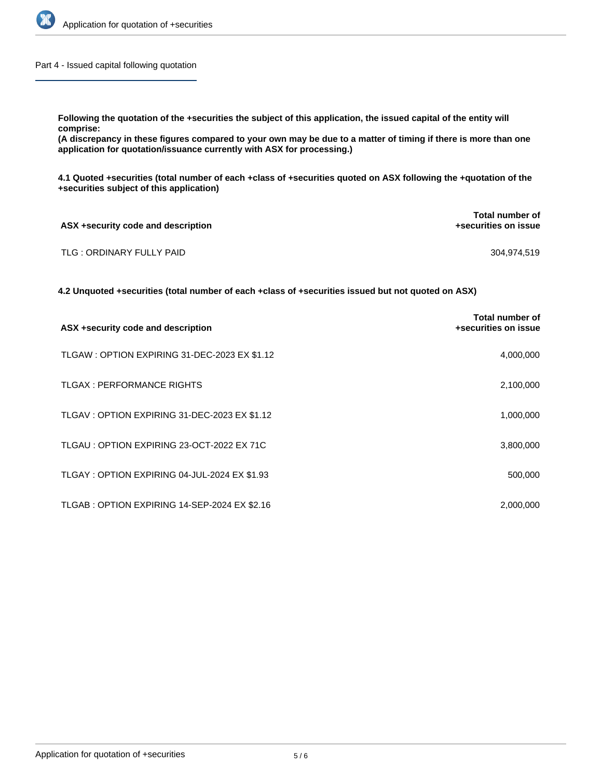

Part 4 - Issued capital following quotation

**Following the quotation of the +securities the subject of this application, the issued capital of the entity will comprise:**

**(A discrepancy in these figures compared to your own may be due to a matter of timing if there is more than one application for quotation/issuance currently with ASX for processing.)**

**4.1 Quoted +securities (total number of each +class of +securities quoted on ASX following the +quotation of the +securities subject of this application)**

| ASX +security code and description | Total number of<br>+securities on issue |
|------------------------------------|-----------------------------------------|
| TLG : ORDINARY FULLY PAID          | 304.974.519                             |

**4.2 Unquoted +securities (total number of each +class of +securities issued but not quoted on ASX)**

| ASX +security code and description            | Total number of<br>+securities on issue |
|-----------------------------------------------|-----------------------------------------|
| TLGAW : OPTION EXPIRING 31-DEC-2023 EX \$1.12 | 4,000,000                               |
| <b>TLGAX: PERFORMANCE RIGHTS</b>              | 2,100,000                               |
| TLGAV: OPTION EXPIRING 31-DEC-2023 EX \$1.12  | 1,000,000                               |
| TLGAU: OPTION EXPIRING 23-OCT-2022 EX 71C     | 3,800,000                               |
| TLGAY: OPTION EXPIRING 04-JUL-2024 EX \$1.93  | 500,000                                 |
| TLGAB: OPTION EXPIRING 14-SEP-2024 EX \$2.16  | 2,000,000                               |